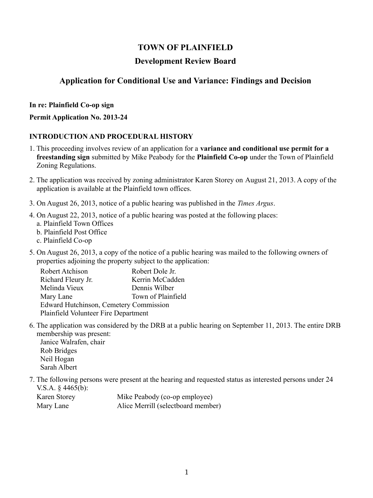# **TOWN OF PLAINFIELD**

### **Development Review Board**

# **Application for Conditional Use and Variance: Findings and Decision**

#### **In re: Plainfield Co-op sign**

#### **Permit Application No. 2013-24**

#### **INTRODUCTION AND PROCEDURAL HISTORY**

- 1. This proceeding involves review of an application for a **variance and conditional use permit for a freestanding sign** submitted by Mike Peabody for the **Plainfield Co-op** under the Town of Plainfield Zoning Regulations.
- 2. The application was received by zoning administrator Karen Storey on August 21, 2013. A copy of the application is available at the Plainfield town offices.
- 3. On August 26, 2013, notice of a public hearing was published in the *Times Argus*.
- 4. On August 22, 2013, notice of a public hearing was posted at the following places:
	- a. Plainfield Town Offices
	- b. Plainfield Post Office
	- c. Plainfield Co-op
- 5. On August 26, 2013, a copy of the notice of a public hearing was mailed to the following owners of properties adjoining the property subject to the application:

| Robert Dole Jr.                               |
|-----------------------------------------------|
| Kerrin McCadden                               |
| Dennis Wilber                                 |
| Town of Plainfield                            |
| <b>Edward Hutchinson, Cemetery Commission</b> |
| Plainfield Volunteer Fire Department          |
|                                               |

6. The application was considered by the DRB at a public hearing on September 11, 2013. The entire DRB membership was present:

Janice Walrafen, chair Rob Bridges Neil Hogan Sarah Albert

7. The following persons were present at the hearing and requested status as interested persons under 24 V.S.A. § 4465(b):

| Karen Storey | Mike Peabody (co-op employee)      |
|--------------|------------------------------------|
| Mary Lane    | Alice Merrill (selectboard member) |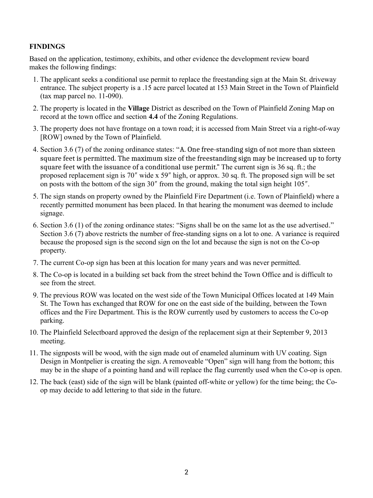### **FINDINGS**

Based on the application, testimony, exhibits, and other evidence the development review board makes the following findings:

- 1. The applicant seeks a conditional use permit to replace the freestanding sign at the Main St. driveway entrance. The subject property is a .15 acre parcel located at 153 Main Street in the Town of Plainfield (tax map parcel no. 11-090).
- 2. The property is located in the **Village** District as described on the Town of Plainfield Zoning Map on record at the town office and section **4.4** of the Zoning Regulations.
- 3. The property does not have frontage on a town road; it is accessed from Main Street via a right-of-way [ROW] owned by the Town of Plainfield.
- 4. Section 3.6 (7) of the zoning ordinance states: "A. One free-standing sign of not more than sixteen square feet is permitted. The maximum size of the freestanding sign may be increased up to forty square feet with the issuance of a conditional use permit." The current sign is 36 sq. ft.; the proposed replacement sign is 70" wide x 59" high, or approx. 30 sq. ft. The proposed sign will be set on posts with the bottom of the sign  $30''$  from the ground, making the total sign height  $105''$ .
- 5. The sign stands on property owned by the Plainfield Fire Department (i.e. Town of Plainfield) where a recently permitted monument has been placed. In that hearing the monument was deemed to include signage.
- 6. Section 3.6 (1) of the zoning ordinance states: "Signs shall be on the same lot as the use advertised." Section 3.6 (7) above restricts the number of free-standing signs on a lot to one. A variance is required because the proposed sign is the second sign on the lot and because the sign is not on the Co-op property.
- 7. The current Co-op sign has been at this location for many years and was never permitted.
- 8. The Co-op is located in a building set back from the street behind the Town Office and is difficult to see from the street.
- 9. The previous ROW was located on the west side of the Town Municipal Offices located at 149 Main St. The Town has exchanged that ROW for one on the east side of the building, between the Town offices and the Fire Department. This is the ROW currently used by customers to access the Co-op parking.
- 10. The Plainfield Selectboard approved the design of the replacement sign at their September 9, 2013 meeting.
- 11. The signposts will be wood, with the sign made out of enameled aluminum with UV coating. Sign Design in Montpelier is creating the sign. A removeable "Open" sign will hang from the bottom; this may be in the shape of a pointing hand and will replace the flag currently used when the Co-op is open.
- 12. The back (east) side of the sign will be blank (painted off-white or yellow) for the time being; the Coop may decide to add lettering to that side in the future.